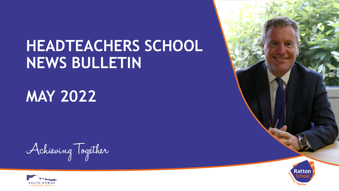# **HEADTEACHERS SCHOOL NEWS BULLETIN**

**MAY 2022**

Achieving Together



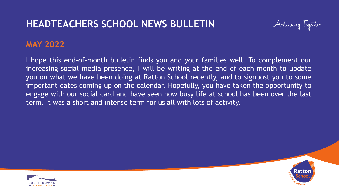# **HEADTEACHERS SCHOOL NEWS BULLETIN**



#### **MAY 2022**

I hope this end-of-month bulletin finds you and your families well. To complement our increasing social media presence, I will be writing at the end of each month to update you on what we have been doing at Ratton School recently, and to signpost you to some important dates coming up on the calendar. Hopefully, you have taken the opportunity to engage with our social card and have seen how busy life at school has been over the last term. It was a short and intense term for us all with lots of activity.



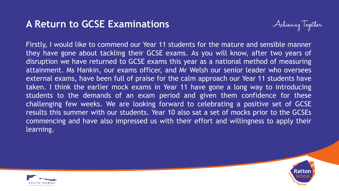### **A Return to GCSE Examinations**



Firstly, I would like to commend our Year 11 students for the mature and sensible manner they have gone about tackling their GCSE exams. As you will know, after two years of disruption we have returned to GCSE exams this year as a national method of measuring attainment. Ms Hankin, our exams officer, and Mr Welsh our senior leader who oversees external exams, have been full of praise for the calm approach our Year 11 students have taken. I think the earlier mock exams in Year 11 have gone a long way to introducing students to the demands of an exam period and given them confidence for these challenging few weeks. We are looking forward to celebrating a positive set of GCSE results this summer with our students. Year 10 also sat a set of mocks prior to the GCSEs commencing and have also impressed us with their effort and willingness to apply their learning.



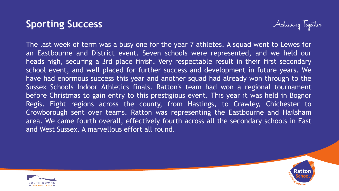### **Sporting Success**



The last week of term was a busy one for the year 7 athletes. A squad went to Lewes for an Eastbourne and District event. Seven schools were represented, and we held our heads high, securing a 3rd place finish. Very respectable result in their first secondary school event, and well placed for further success and development in future years. We have had enormous success this year and another squad had already won through to the Sussex Schools Indoor Athletics finals. Ratton's team had won a regional tournament before Christmas to gain entry to this prestigious event. This year it was held in Bognor Regis. Eight regions across the county, from Hastings, to Crawley, Chichester to Crowborough sent over teams. Ratton was representing the Eastbourne and Hailsham area. We came fourth overall, effectively fourth across all the secondary schools in East and West Sussex. A marvellous effort all round.



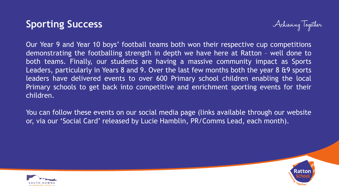## **Sporting Success**



Our Year 9 and Year 10 boys' football teams both won their respective cup competitions demonstrating the footballing strength in depth we have here at Ratton – well done to both teams. Finally, our students are having a massive community impact as Sports Leaders, particularly in Years 8 and 9. Over the last few months both the year 8 &9 sports leaders have delivered events to over 600 Primary school children enabling the local Primary schools to get back into competitive and enrichment sporting events for their children.

You can follow these events on our social media page (links available through our website or, via our 'Social Card' released by Lucie Hamblin, PR/Comms Lead, each month).



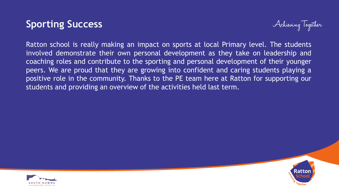### **Sporting Success**



Ratton school is really making an impact on sports at local Primary level. The students involved demonstrate their own personal development as they take on leadership and coaching roles and contribute to the sporting and personal development of their younger peers. We are proud that they are growing into confident and caring students playing a positive role in the community. Thanks to the PE team here at Ratton for supporting our students and providing an overview of the activities held last term.



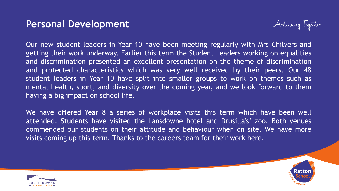#### **Personal Development**



Our new student leaders in Year 10 have been meeting regularly with Mrs Chilvers and getting their work underway. Earlier this term the Student Leaders working on equalities and discrimination presented an excellent presentation on the theme of discrimination and protected characteristics which was very well received by their peers. Our 48 student leaders in Year 10 have split into smaller groups to work on themes such as mental health, sport, and diversity over the coming year, and we look forward to them having a big impact on school life.

We have offered Year 8 a series of workplace visits this term which have been well attended. Students have visited the Lansdowne hotel and Drusilla's' zoo. Both venues commended our students on their attitude and behaviour when on site. We have more visits coming up this term. Thanks to the careers team for their work here.



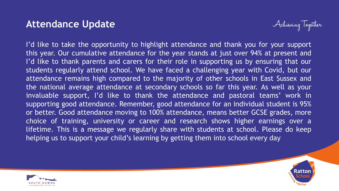#### **Attendance Update**



I'd like to take the opportunity to highlight attendance and thank you for your support this year. Our cumulative attendance for the year stands at just over 94% at present and I'd like to thank parents and carers for their role in supporting us by ensuring that our students regularly attend school. We have faced a challenging year with Covid, but our attendance remains high compared to the majority of other schools in East Sussex and the national average attendance at secondary schools so far this year. As well as your invaluable support, I'd like to thank the attendance and pastoral teams' work in supporting good attendance. Remember, good attendance for an individual student is 95% or better. Good attendance moving to 100% attendance, means better GCSE grades, more choice of training, university or career and research shows higher earnings over a lifetime. This is a message we regularly share with students at school. Please do keep helping us to support your child's learning by getting them into school every day



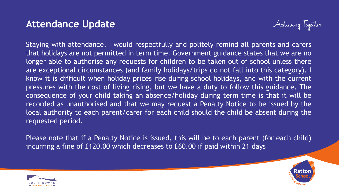#### **Attendance Update**



Staying with attendance, I would respectfully and politely remind all parents and carers that holidays are not permitted in term time. Government guidance states that we are no longer able to authorise any requests for children to be taken out of school unless there are exceptional circumstances (and family holidays/trips do not fall into this category). I know it is difficult when holiday prices rise during school holidays, and with the current pressures with the cost of living rising, but we have a duty to follow this guidance. The consequence of your child taking an absence/holiday during term time is that it will be recorded as unauthorised and that we may request a Penalty Notice to be issued by the local authority to each parent/carer for each child should the child be absent during the requested period.

Please note that if a Penalty Notice is issued, this will be to each parent (for each child) incurring a fine of £120.00 which decreases to £60.00 if paid within 21 days



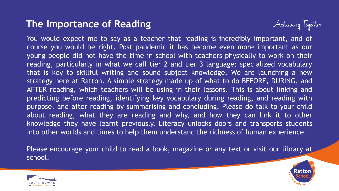### **The Importance of Reading**



You would expect me to say as a teacher that reading is incredibly important, and of course you would be right. Post pandemic it has become even more important as our young people did not have the time in school with teachers physically to work on their reading, particularly in what we call tier 2 and tier 3 language: specialized vocabulary that is key to skillful writing and sound subject knowledge. We are launching a new strategy here at Ratton. A simple strategy made up of what to do BEFORE, DURING, and AFTER reading, which teachers will be using in their lessons. This is about linking and predicting before reading, identifying key vocabulary during reading, and reading with purpose, and after reading by summarising and concluding. Please do talk to your child about reading, what they are reading and why, and how they can link it to other knowledge they have learnt previously. Literacy unlocks doors and transports students into other worlds and times to help them understand the richness of human experience.

Please encourage your child to read a book, magazine or any text or visit our library at school.



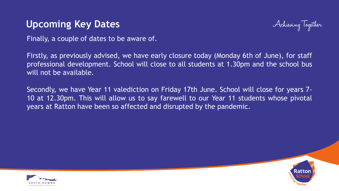### **Upcoming Key Dates**



Finally, a couple of dates to be aware of.

Firstly, as previously advised, we have early closure today (Monday 6th of June), for staff professional development. School will close to all students at 1.30pm and the school bus will not be available.

Secondly, we have Year 11 valediction on Friday 17th June. School will close for years 7- 10 at 12.30pm. This will allow us to say farewell to our Year 11 students whose pivotal years at Ratton have been so affected and disrupted by the pandemic.



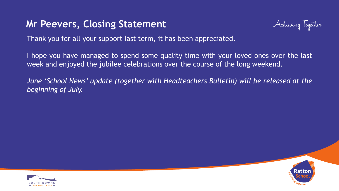#### **Mr Peevers, Closing Statement**



Thank you for all your support last term, it has been appreciated.

I hope you have managed to spend some quality time with your loved ones over the last week and enjoyed the jubilee celebrations over the course of the long weekend.

*June 'School News' update (together with Headteachers Bulletin) will be released at the beginning of July.*